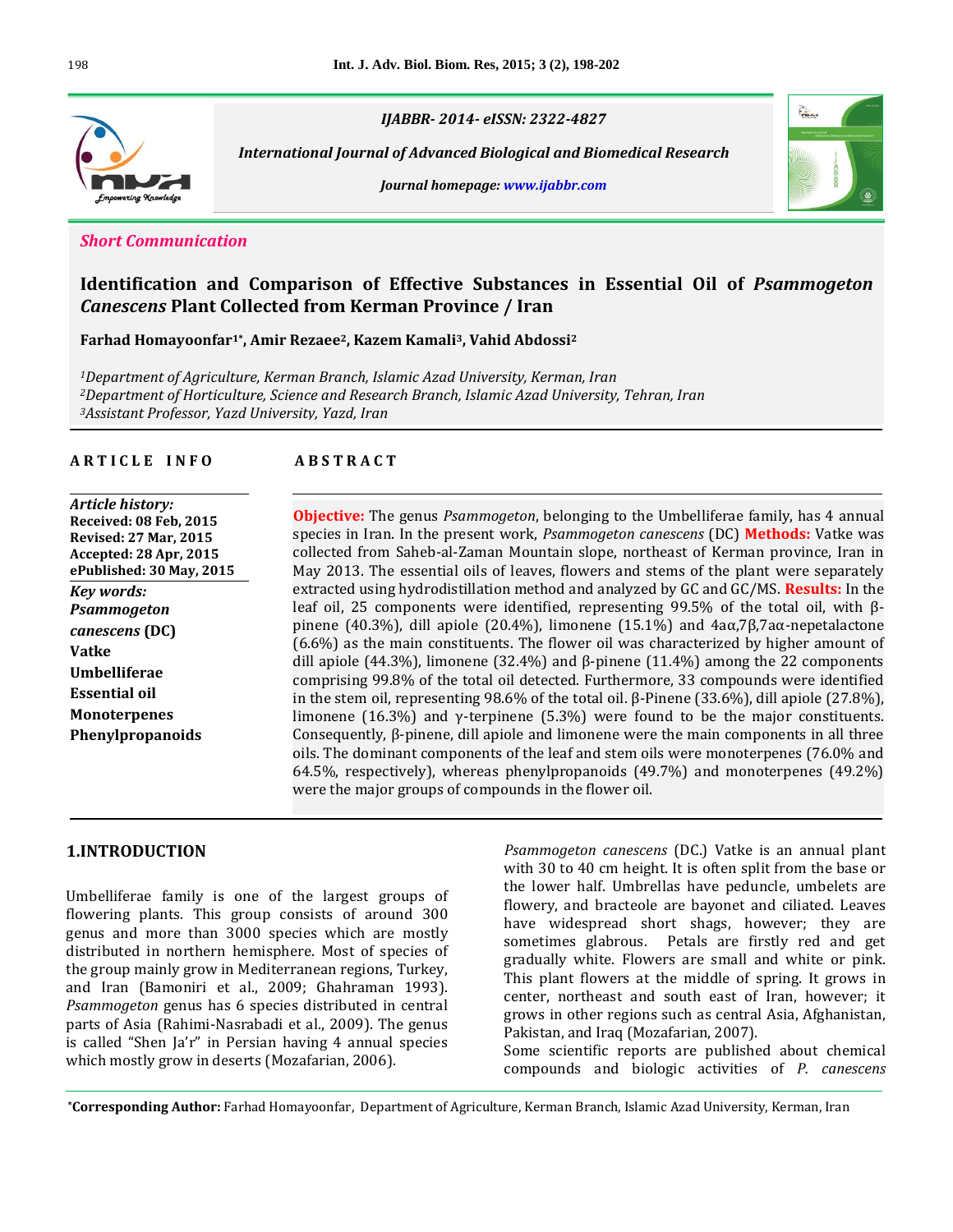

*IJABBR- 2014- eISSN: 2322-4827*

 *International Journal of Advanced Biological and Biomedical Research*

*Journal homepage: www.ijabbr.com*



#### *Short Communication*

# **Identification and Comparison of Effective Substances in Essential Oil of** *Psammogeton Canescens* **Plant Collected from Kerman Province / Iran**

**Farhad Homayoonfar1\* , Amir Rezaee2, Kazem Kamali3, Vahid Abdossi<sup>2</sup>**

*<sup>1</sup>Department of Agriculture, Kerman Branch, Islamic Azad University, Kerman, Iran <sup>2</sup>Department of Horticulture, Science and Research Branch, Islamic Azad University, Tehran, Iran <sup>3</sup>Assistant Professor, Yazd University, Yazd, Iran*

#### **A R T I C L E I N F O A B S T R A C T**

*Article history:* **Received: 08 Feb, 2015 Revised: 27 Mar, 2015 Accepted: 28 Apr, 2015 ePublished: 30 May, 2015** *Key words: Psammogeton canescens* **(DC) Vatke Umbelliferae Essential oil Monoterpenes Phenylpropanoids**

**Objective:** The genus *Psammogeton*, belonging to the Umbelliferae family, has 4 annual species in Iran. In the present work, *Psammogeton canescens* (DC) **Methods:** Vatke was collected from Saheb-al-Zaman Mountain slope, northeast of Kerman province, Iran in May 2013. The essential oils of leaves, flowers and stems of the plant were separately extracted using hydrodistillation method and analyzed by GC and GC/MS. **Results:** In the leaf oil, 25 components were identified, representing 99.5% of the total oil, with βpinene (40.3%), dill apiole (20.4%), limonene (15.1%) and  $4a\alpha$ ,7β,7a $\alpha$ -nepetalactone (6.6%) as the main constituents. The flower oil was characterized by higher amount of dill apiole (44.3%), limonene (32.4%) and β-pinene (11.4%) among the 22 components comprising 99.8% of the total oil detected. Furthermore, 33 compounds were identified in the stem oil, representing 98.6% of the total oil. β-Pinene (33.6%), dill apiole (27.8%), limonene (16.3%) and  $\gamma$ -terpinene (5.3%) were found to be the major constituents. Consequently, β-pinene, dill apiole and limonene were the main components in all three oils. The dominant components of the leaf and stem oils were monoterpenes (76.0% and 64.5%, respectively), whereas phenylpropanoids (49.7%) and monoterpenes (49.2%) were the major groups of compounds in the flower oil.

# **1.INTRODUCTION**

Umbelliferae family is one of the largest groups of flowering plants. This group consists of around 300 genus and more than 3000 species which are mostly distributed in northern hemisphere. Most of species of the group mainly grow in Mediterranean regions, Turkey, and Iran (Bamoniri et al., 2009; Ghahraman 1993). *Psammogeton* genus has 6 species distributed in central parts of Asia (Rahimi-Nasrabadi et al., 2009). The genus is called "Shen Ja'r" in Persian having 4 annual species which mostly grow in deserts (Mozafarian, 2006).

*Psammogeton canescens* (DC.) Vatke is an annual plant with 30 to 40 cm height. It is often split from the base or the lower half. Umbrellas have peduncle, umbelets are flowery, and bracteole are bayonet and ciliated. Leaves have widespread short shags, however; they are sometimes glabrous. Petals are firstly red and get gradually white. Flowers are small and white or pink. This plant flowers at the middle of spring. It grows in center, northeast and south east of Iran, however; it grows in other regions such as central Asia, Afghanistan, Pakistan, and Iraq (Mozafarian, 2007).

Some scientific reports are published about chemical compounds and biologic activities of *P. canescens*

**\*Corresponding Author:** Farhad Homayoonfar, Department of Agriculture, Kerman Branch, Islamic Azad University, Kerman, Iran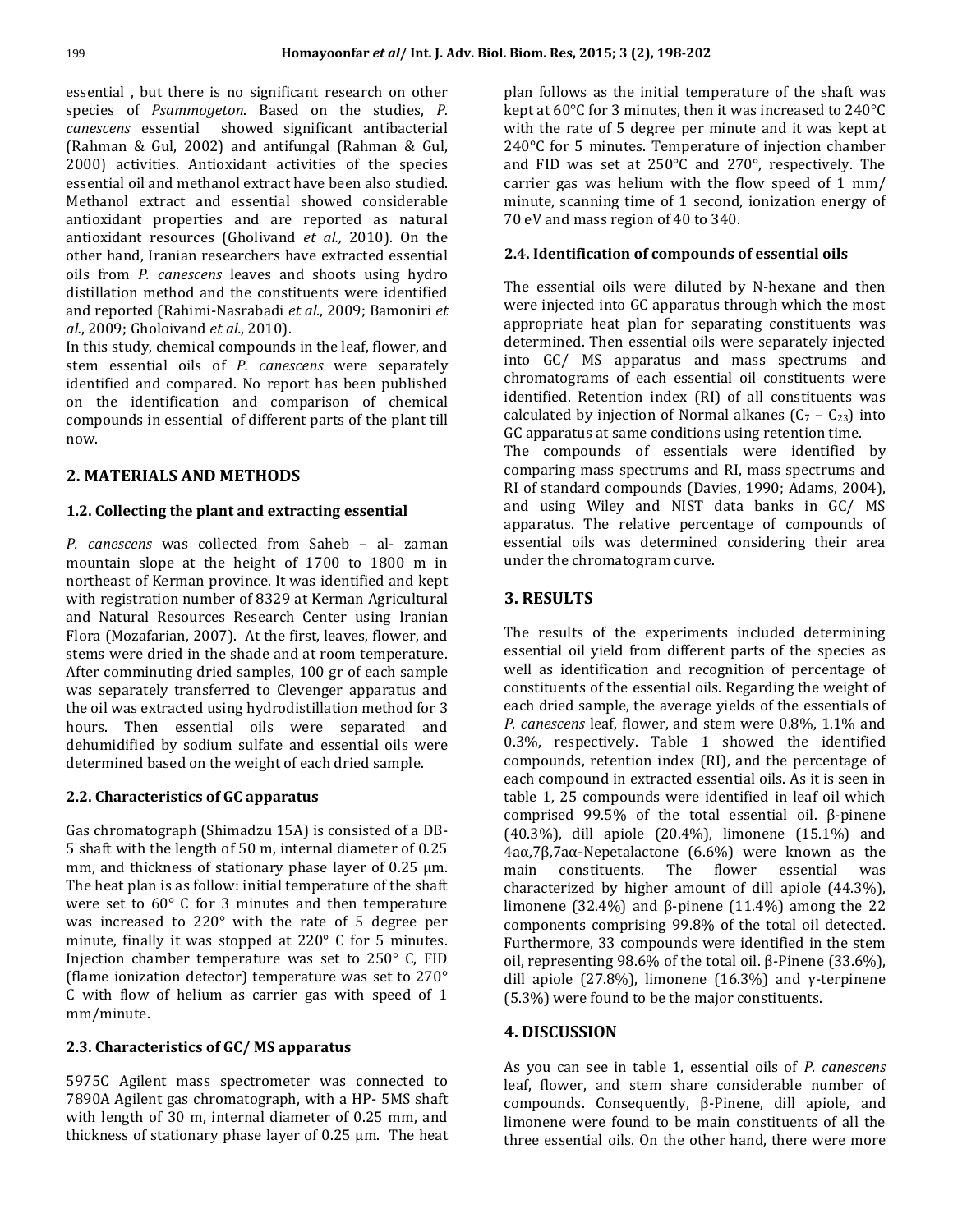essential , but there is no significant research on other species of *Psammogeton*. Based on the studies, *P. canescens* essential showed significant antibacterial (Rahman & Gul, 2002) and antifungal (Rahman & Gul, 2000) activities. Antioxidant activities of the species essential oil and methanol extract have been also studied. Methanol extract and essential showed considerable antioxidant properties and are reported as natural antioxidant resources (Gholivand *et al.,* 2010). On the other hand, Iranian researchers have extracted essential oils from *P. canescens* leaves and shoots using hydro distillation method and the constituents were identified and reported (Rahimi-Nasrabadi *et al.*, 2009; Bamoniri *et al.*, 2009; Gholoivand *et al.*, 2010).

In this study, chemical compounds in the leaf, flower, and stem essential oils of *P. canescens* were separately identified and compared. No report has been published on the identification and comparison of chemical compounds in essential of different parts of the plant till now.

# **2. MATERIALS AND METHODS**

### **1.2. Collecting the plant and extracting essential**

*P. canescens* was collected from Saheb – al- zaman mountain slope at the height of 1700 to 1800 m in northeast of Kerman province. It was identified and kept with registration number of 8329 at Kerman Agricultural and Natural Resources Research Center using Iranian Flora (Mozafarian, 2007). At the first, leaves, flower, and stems were dried in the shade and at room temperature. After comminuting dried samples, 100 gr of each sample was separately transferred to Clevenger apparatus and the oil was extracted using hydrodistillation method for 3 hours. Then essential oils were separated and dehumidified by sodium sulfate and essential oils were determined based on the weight of each dried sample.

### **2.2. Characteristics of GC apparatus**

Gas chromatograph (Shimadzu 15A) is consisted of a DB-5 shaft with the length of 50 m, internal diameter of 0.25 mm, and thickness of stationary phase layer of 0.25  $\mu$ m. The heat plan is as follow: initial temperature of the shaft were set to 60° C for 3 minutes and then temperature was increased to 220° with the rate of 5 degree per minute, finally it was stopped at 220° C for 5 minutes. Injection chamber temperature was set to 250° C, FID (flame ionization detector) temperature was set to 270° C with flow of helium as carrier gas with speed of 1 mm/minute.

#### **2.3. Characteristics of GC/ MS apparatus**

5975C Agilent mass spectrometer was connected to 7890A Agilent gas chromatograph, with a HP- 5MS shaft with length of 30 m, internal diameter of 0.25 mm, and thickness of stationary phase layer of 0.25 µm. The heat

plan follows as the initial temperature of the shaft was kept at 60°C for 3 minutes, then it was increased to 240°C with the rate of 5 degree per minute and it was kept at 240°C for 5 minutes. Temperature of injection chamber and FID was set at 250°C and 270°, respectively. The carrier gas was helium with the flow speed of 1 mm/ minute, scanning time of 1 second, ionization energy of 70 eV and mass region of 40 to 340.

### **2.4. Identification of compounds of essential oils**

The essential oils were diluted by N-hexane and then were injected into GC apparatus through which the most appropriate heat plan for separating constituents was determined. Then essential oils were separately injected into GC/ MS apparatus and mass spectrums and chromatograms of each essential oil constituents were identified. Retention index (RI) of all constituents was calculated by injection of Normal alkanes  $(C_7 - C_{23})$  into GC apparatus at same conditions using retention time.

The compounds of essentials were identified by comparing mass spectrums and RI, mass spectrums and RI of standard compounds (Davies, 1990; Adams, 2004), and using Wiley and NIST data banks in GC/ MS apparatus. The relative percentage of compounds of essential oils was determined considering their area under the chromatogram curve.

# **3. RESULTS**

The results of the experiments included determining essential oil yield from different parts of the species as well as identification and recognition of percentage of constituents of the essential oils. Regarding the weight of each dried sample, the average yields of the essentials of *P. canescens* leaf, flower, and stem were 0.8%, 1.1% and 0.3%, respectively. Table 1 showed the identified compounds, retention index (RI), and the percentage of each compound in extracted essential oils. As it is seen in table 1, 25 compounds were identified in leaf oil which comprised 99.5% of the total essential oil. β-pinene (40.3%), dill apiole (20.4%), limonene (15.1%) and 4aα,7β,7aα-Nepetalactone (6.6%) were known as the main constituents. The flower essential was characterized by higher amount of dill apiole (44.3%), limonene (32.4%) and β-pinene (11.4%) among the 22 components comprising 99.8% of the total oil detected. Furthermore, 33 compounds were identified in the stem oil, representing 98.6% of the total oil. β-Pinene (33.6%), dill apiole (27.8%), limonene (16.3%) and γ-terpinene (5.3%) were found to be the major constituents.

# **4. DISCUSSION**

As you can see in table 1, essential oils of *P. canescens* leaf, flower, and stem share considerable number of compounds. Consequently, β-Pinene, dill apiole, and limonene were found to be main constituents of all the three essential oils. On the other hand, there were more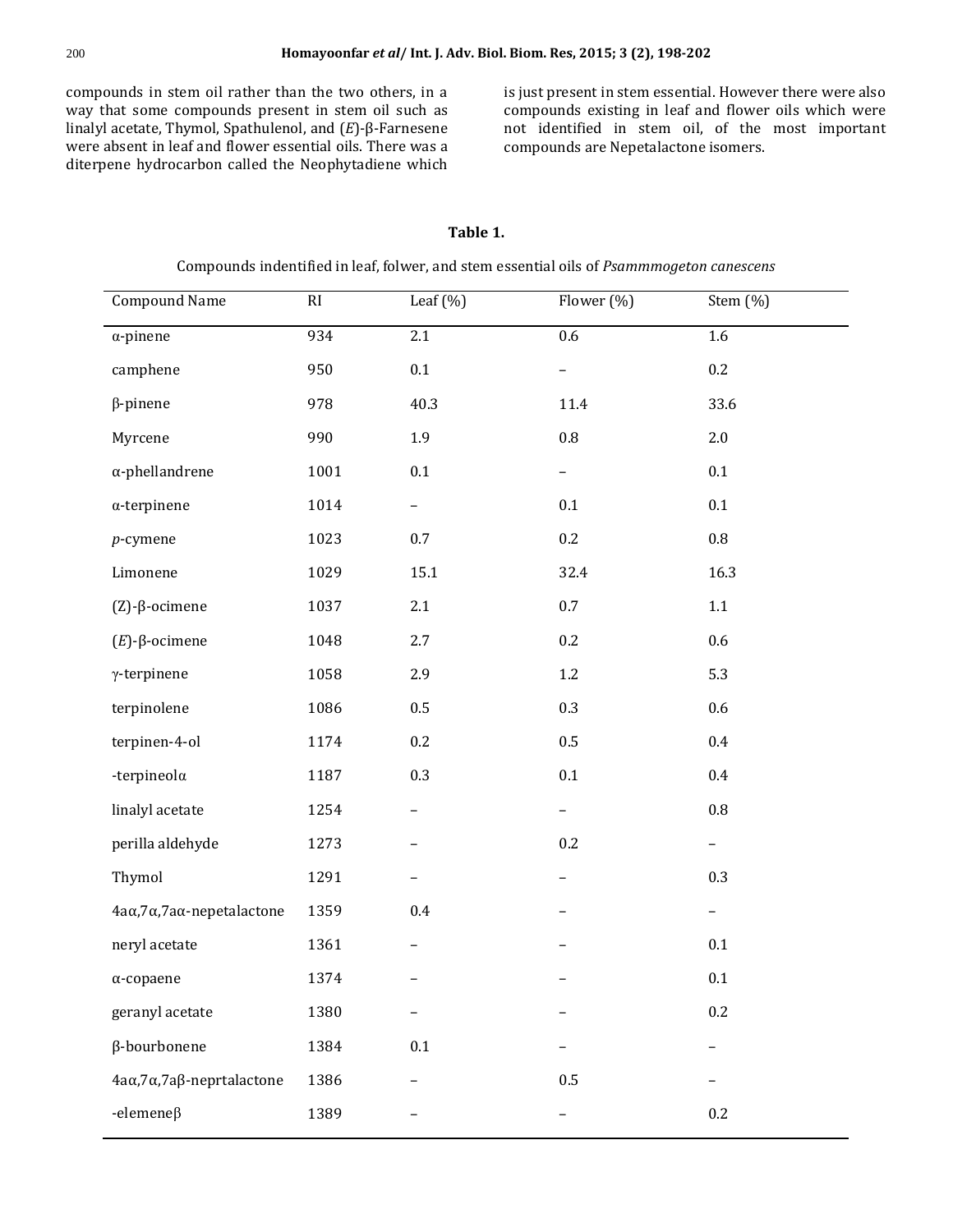compounds in stem oil rather than the two others, in a way that some compounds present in stem oil such as linalyl acetate, Thymol, Spathulenol, and (*E*)-β-Farnesene were absent in leaf and flower essential oils. There was a diterpene hydrocarbon called the Neophytadiene which

is just present in stem essential. However there were also compounds existing in leaf and flower oils which were not identified in stem oil, of the most important compounds are Nepetalactone isomers.

## **Table 1.**

| Compounds indentified in leaf, folwer, and stem essential oils of Psammmogeton canescens |      |                          |            |                          |  |  |
|------------------------------------------------------------------------------------------|------|--------------------------|------------|--------------------------|--|--|
| <b>Compound Name</b>                                                                     | RI   | Leaf $(\%)$              | Flower (%) | Stem (%)                 |  |  |
| $\alpha$ -pinene                                                                         | 934  | 2.1                      | 0.6        | 1.6                      |  |  |
| camphene                                                                                 | 950  | 0.1                      |            | 0.2                      |  |  |
| $\beta$ -pinene                                                                          | 978  | 40.3                     | 11.4       | 33.6                     |  |  |
| Myrcene                                                                                  | 990  | 1.9                      | $\rm 0.8$  | $2.0\,$                  |  |  |
| $\alpha$ -phellandrene                                                                   | 1001 | $0.1\,$                  |            | $0.1\,$                  |  |  |
| $\alpha$ -terpinene                                                                      | 1014 | $\overline{\phantom{m}}$ | 0.1        | $0.1\,$                  |  |  |
| $p$ -cymene                                                                              | 1023 | 0.7                      | 0.2        | $\rm 0.8$                |  |  |
| Limonene                                                                                 | 1029 | 15.1                     | 32.4       | 16.3                     |  |  |
| $(Z)$ - $\beta$ -ocimene                                                                 | 1037 | 2.1                      | 0.7        | $1.1\,$                  |  |  |
| $(E)$ - $\beta$ -ocimene                                                                 | 1048 | 2.7                      | 0.2        | 0.6                      |  |  |
| $\gamma$ -terpinene                                                                      | 1058 | 2.9                      | $1.2\,$    | 5.3                      |  |  |
| terpinolene                                                                              | 1086 | 0.5                      | 0.3        | 0.6                      |  |  |
| terpinen-4-ol                                                                            | 1174 | $0.2\,$                  | $0.5\,$    | 0.4                      |  |  |
| -terpineola                                                                              | 1187 | 0.3                      | 0.1        | $0.4\,$                  |  |  |
| linalyl acetate                                                                          | 1254 |                          |            | $\rm 0.8$                |  |  |
| perilla aldehyde                                                                         | 1273 |                          | 0.2        |                          |  |  |
| Thymol                                                                                   | 1291 |                          |            | 0.3                      |  |  |
| 4aα, 7α, 7aα-nepetalactone                                                               | 1359 | 0.4                      |            | $\overline{\phantom{a}}$ |  |  |
| neryl acetate                                                                            | 1361 | $\qquad \qquad -$        |            | $0.1\,$                  |  |  |
| $\alpha$ -copaene                                                                        | 1374 |                          |            | $0.1\,$                  |  |  |
| geranyl acetate                                                                          | 1380 |                          |            | 0.2                      |  |  |
| β-bourbonene                                                                             | 1384 | 0.1                      |            |                          |  |  |
| 4aα, 7α, 7aβ-neprtalactone                                                               | 1386 |                          | $0.5\,$    |                          |  |  |
| -elemeneß                                                                                | 1389 |                          |            | 0.2                      |  |  |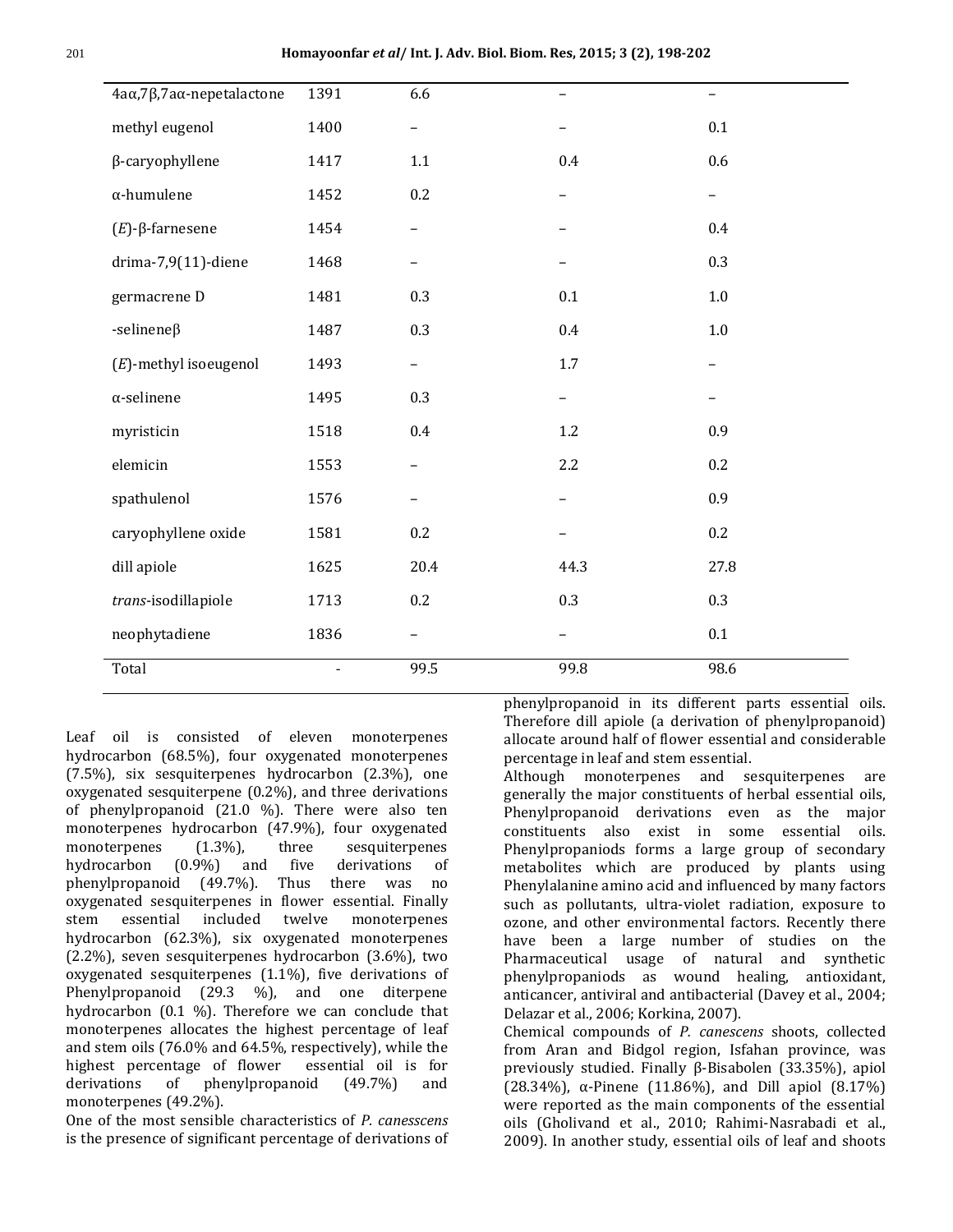| 4aα, 7β, 7aα-nepetalactone | 1391                     | 6.6                      | $\qquad \qquad -$ | -       |
|----------------------------|--------------------------|--------------------------|-------------------|---------|
| methyl eugenol             | 1400                     | $\qquad \qquad -$        |                   | $0.1\,$ |
| β-caryophyllene            | 1417                     | 1.1                      | 0.4               | 0.6     |
| $\alpha$ -humulene         | 1452                     | 0.2                      | $\qquad \qquad -$ | —       |
| $(E)$ -β-farnesene         | 1454                     | $\overline{\phantom{0}}$ |                   | 0.4     |
| $drima-7,9(11)$ -diene     | 1468                     | $\overline{\phantom{0}}$ |                   | 0.3     |
| germacrene D               | 1481                     | 0.3                      | 0.1               | $1.0\,$ |
| -selinene $\beta$          | 1487                     | 0.3                      | 0.4               | $1.0\,$ |
| $(E)$ -methyl isoeugenol   | 1493                     | $\overline{\phantom{0}}$ | $1.7\,$           |         |
| $\alpha$ -selinene         | 1495                     | 0.3                      |                   |         |
| myristicin                 | 1518                     | 0.4                      | 1.2               | 0.9     |
| elemicin                   | 1553                     | -                        | 2.2               | 0.2     |
| spathulenol                | 1576                     | $\overline{\phantom{0}}$ |                   | 0.9     |
| caryophyllene oxide        | 1581                     | 0.2                      |                   | 0.2     |
| dill apiole                | 1625                     | 20.4                     | 44.3              | 27.8    |
| trans-isodillapiole        | 1713                     | 0.2                      | 0.3               | 0.3     |
| neophytadiene              | 1836                     | -                        | -                 | 0.1     |
| Total                      | $\overline{\phantom{a}}$ | 99.5                     | 99.8              | 98.6    |

Leaf oil is consisted of eleven monoterpenes hydrocarbon (68.5%), four oxygenated monoterpenes (7.5%), six sesquiterpenes hydrocarbon (2.3%), one oxygenated sesquiterpene (0.2%), and three derivations of phenylpropanoid (21.0 %). There were also ten monoterpenes hydrocarbon (47.9%), four oxygenated monoterpenes (1.3%), three sesquiterpenes hydrocarbon (0.9%) and five derivations of phenylpropanoid (49.7%). Thus there was no oxygenated sesquiterpenes in flower essential. Finally stem essential included twelve monoterpenes hydrocarbon (62.3%), six oxygenated monoterpenes (2.2%), seven sesquiterpenes hydrocarbon (3.6%), two oxygenated sesquiterpenes (1.1%), five derivations of Phenylpropanoid (29.3 %), and one diterpene hydrocarbon (0.1 %). Therefore we can conclude that monoterpenes allocates the highest percentage of leaf and stem oils (76.0% and 64.5%, respectively), while the highest percentage of flower essential oil is for derivations of phenylpropanoid (49.7%) and monoterpenes (49.2%).

One of the most sensible characteristics of *P. canesscens* is the presence of significant percentage of derivations of

phenylpropanoid in its different parts essential oils. Therefore dill apiole (a derivation of phenylpropanoid) allocate around half of flower essential and considerable percentage in leaf and stem essential.

Although monoterpenes and sesquiterpenes are generally the major constituents of herbal essential oils, Phenylpropanoid derivations even as the major constituents also exist in some essential oils. Phenylpropaniods forms a large group of secondary metabolites which are produced by plants using Phenylalanine amino acid and influenced by many factors such as pollutants, ultra-violet radiation, exposure to ozone, and other environmental factors. Recently there have been a large number of studies on the Pharmaceutical usage of natural and synthetic phenylpropaniods as wound healing, antioxidant, anticancer, antiviral and antibacterial (Davey et al., 2004; Delazar et al., 2006; Korkina, 2007).

Chemical compounds of *P. canescens* shoots, collected from Aran and Bidgol region, Isfahan province, was previously studied. Finally β-Bisabolen (33.35%), apiol (28.34%), α-Pinene (11.86%), and Dill apiol (8.17%) were reported as the main components of the essential oils (Gholivand et al., 2010; Rahimi-Nasrabadi et al., 2009). In another study, essential oils of leaf and shoots